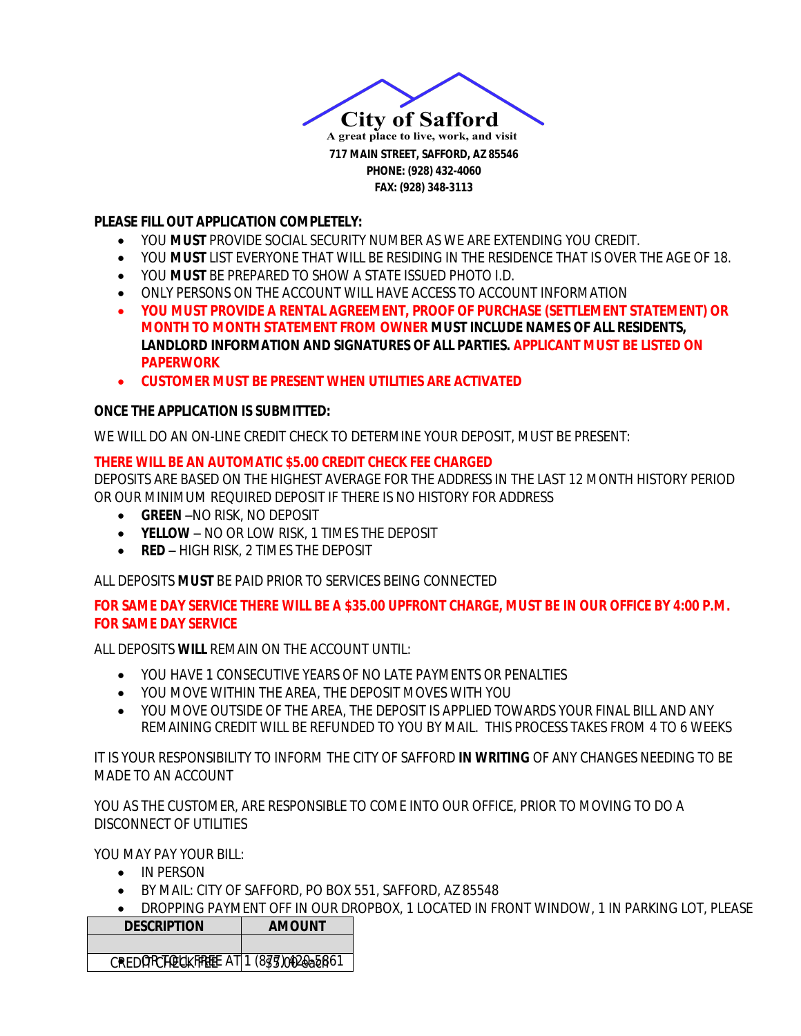

#### **PLEASE FILL OUT APPLICATION COMPLETELY:**

- YOU *MUST* PROVIDE SOCIAL SECURITY NUMBER AS WE ARE EXTENDING YOU CREDIT.
- YOU *MUST* LIST EVERYONE THAT WILL BE RESIDING IN THE RESIDENCE THAT IS OVER THE AGE OF 18.
- YOU *MUST* BE PREPARED TO SHOW A STATE ISSUED PHOTO I.D.
- ONLY PERSONS ON THE ACCOUNT WILL HAVE ACCESS TO ACCOUNT INFORMATION
- **YOU MUST PROVIDE A RENTAL AGREEMENT, PROOF OF PURCHASE (SETTLEMENT STATEMENT) OR MONTH TO MONTH STATEMENT FROM OWNER MUST INCLUDE NAMES OF ALL RESIDENTS, LANDLORD INFORMATION AND SIGNATURES OF ALL PARTIES.** *APPLICANT MUST BE LISTED ON PAPERWORK*
- **CUSTOMER MUST BE PRESENT WHEN UTILITIES ARE ACTIVATED**

## **ONCE THE APPLICATION IS SUBMITTED:**

WE WILL DO AN ON-LINE CREDIT CHECK TO DETERMINE YOUR DEPOSIT, MUST BE PRESENT:

## *THERE WILL BE AN AUTOMATIC \$5.00 CREDIT CHECK FEE CHARGED*

DEPOSITS ARE BASED ON THE HIGHEST AVERAGE FOR THE ADDRESS IN THE LAST 12 MONTH HISTORY PERIOD OR OUR MINIMUM REQUIRED DEPOSIT IF THERE IS NO HISTORY FOR ADDRESS

- *GREEN* –NO RISK, NO DEPOSIT
- *YELLOW* NO OR LOW RISK, 1 TIMES THE DEPOSIT
- **RED** HIGH RISK, 2 TIMES THE DEPOSIT

ALL DEPOSITS *MUST* BE PAID PRIOR TO SERVICES BEING CONNECTED

#### *FOR SAME DAY SERVICE THERE WILL BE A \$35.00 UPFRONT CHARGE, MUST BE IN OUR OFFICE BY 4:00 P.M. FOR SAME DAY SERVICE*

ALL DEPOSITS *WILL* REMAIN ON THE ACCOUNT UNTIL:

- YOU HAVE 1 CONSECUTIVE YEARS OF NO LATE PAYMENTS OR PENALTIES
- YOU MOVE WITHIN THE AREA, THE DEPOSIT MOVES WITH YOU
- YOU MOVE OUTSIDE OF THE AREA, THE DEPOSIT IS APPLIED TOWARDS YOUR FINAL BILL AND ANY REMAINING CREDIT WILL BE REFUNDED TO YOU BY MAIL. THIS PROCESS TAKES FROM 4 TO 6 WEEKS

IT IS YOUR RESPONSIBILITY TO INFORM THE CITY OF SAFFORD *IN WRITING* OF ANY CHANGES NEEDING TO BE MADE TO AN ACCOUNT

YOU AS THE CUSTOMER, ARE RESPONSIBLE TO COME INTO OUR OFFICE, PRIOR TO MOVING TO DO A DISCONNECT OF UTILITIES

YOU MAY PAY YOUR BILL:

- IN PERSON
- BY MAIL: CITY OF SAFFORD, PO BOX 551, SAFFORD, AZ 85548
- **DROPPING PAYMENT OFF IN OUR DROPBOX, 1 LOCATED IN FRONT WINDOW, 1 IN PARKING LOT, PLEASE**

| <b>DESCRIPTION</b>                    | <b>AMOUNT</b> |  |  |  |
|---------------------------------------|---------------|--|--|--|
|                                       |               |  |  |  |
| CREDORCTOUKFREEE AT 1 (833) 0020a5B61 |               |  |  |  |